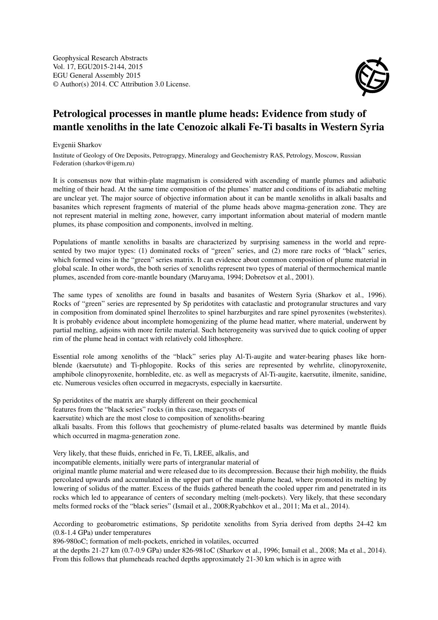Geophysical Research Abstracts Vol. 17, EGU2015-2144, 2015 EGU General Assembly 2015 © Author(s) 2014. CC Attribution 3.0 License.



## Petrological processes in mantle plume heads: Evidence from study of mantle xenoliths in the late Cenozoic alkali Fe-Ti basalts in Western Syria

Evgenii Sharkov

Institute of Geology of Ore Deposits, Petrograpgy, Mineralogy and Geochemistry RAS, Petrology, Moscow, Russian Federation (sharkov@igem.ru)

It is consensus now that within-plate magmatism is considered with ascending of mantle plumes and adiabatic melting of their head. At the same time composition of the plumes' matter and conditions of its adiabatic melting are unclear yet. The major source of objective information about it can be mantle xenoliths in alkali basalts and basanites which represent fragments of material of the plume heads above magma-generation zone. They are not represent material in melting zone, however, carry important information about material of modern mantle plumes, its phase composition and components, involved in melting.

Populations of mantle xenoliths in basalts are characterized by surprising sameness in the world and represented by two major types: (1) dominated rocks of "green" series, and (2) more rare rocks of "black" series, which formed veins in the "green" series matrix. It can evidence about common composition of plume material in global scale. In other words, the both series of xenoliths represent two types of material of thermochemical mantle plumes, ascended from core-mantle boundary (Maruyama, 1994; Dobretsov et al., 2001).

The same types of xenoliths are found in basalts and basanites of Western Syria (Sharkov et al., 1996). Rocks of "green" series are represented by Sp peridotites with cataclastic and protogranular structures and vary in composition from dominated spinel lherzolites to spinel harzburgites and rare spinel pyroxenites (websterites). It is probably evidence about incomplete homogenizing of the plume head matter, where material, underwent by partial melting, adjoins with more fertile material. Such heterogeneity was survived due to quick cooling of upper rim of the plume head in contact with relatively cold lithosphere.

Essential role among xenoliths of the "black" series play Al-Ti-augite and water-bearing phases like hornblende (kaersutute) and Ti-phlogopite. Rocks of this series are represented by wehrlite, clinopyroxenite, amphibole clinopyroxenite, hornbledite, etc. as well as megacrysts of Al-Ti-augite, kaersutite, ilmenite, sanidine, etc. Numerous vesicles often occurred in megacrysts, especially in kaersurtite.

Sp peridotites of the matrix are sharply different on their geochemical features from the "black series" rocks (in this case, megacrysts of kaersutite) which are the most close to composition of xenoliths-bearing alkali basalts. From this follows that geochemistry of plume-related basalts was determined by mantle fluids which occurred in magma-generation zone.

Very likely, that these fluids, enriched in Fe, Ti, LREE, alkalis, and

incompatible elements, initially were parts of intergranular material of

original mantle plume material and were released due to its decompression. Because their high mobility, the fluids percolated upwards and accumulated in the upper part of the mantle plume head, where promoted its melting by lowering of solidus of the matter. Excess of the fluids gathered beneath the cooled upper rim and penetrated in its rocks which led to appearance of centers of secondary melting (melt-pockets). Very likely, that these secondary melts formed rocks of the "black series" (Ismail et al., 2008;Ryabchkov et al., 2011; Ma et al., 2014).

According to geobarometric estimations, Sp peridotite xenoliths from Syria derived from depths 24-42 km (0.8-1.4 GPa) under temperatures

896-980oC; formation of melt-pockets, enriched in volatiles, occurred

at the depths 21-27 km (0.7-0.9 GPa) under 826-981oC (Sharkov et al., 1996; Ismail et al., 2008; Ma et al., 2014). From this follows that plumeheads reached depths approximately 21-30 km which is in agree with